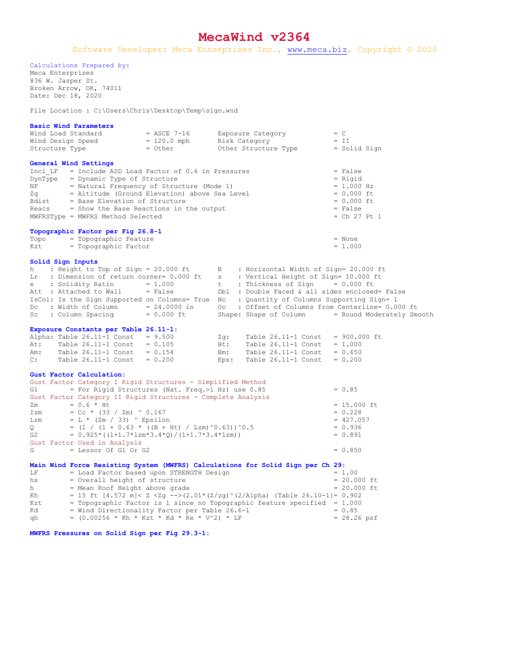## **MecaWind v2364**

Software Developer: Meca Enterprises Inc., [www.meca.biz,](http://www.meca.biz/) Copyright © 2020

Calculations Prepared by:

Meca Enterprises 836 W. Jasper St. Broken Arrow, OK, 74011 Date: Dec 18, 2020

File Location : C:\Users\Chris\Desktop\Temp\sign.wnd

| Wind Load Standard                                                                                                                                                                                                                                                                  | = ASCE 7-16              |        | Exposure Category                              | $= C$                                            |
|-------------------------------------------------------------------------------------------------------------------------------------------------------------------------------------------------------------------------------------------------------------------------------------|--------------------------|--------|------------------------------------------------|--------------------------------------------------|
| Wind Design Speed                                                                                                                                                                                                                                                                   | $= 120.0$ mph<br>= Other |        | Risk Category                                  | $= II$                                           |
| Structure Type                                                                                                                                                                                                                                                                      |                          |        | Other Structure Type                           | = Solid Sign                                     |
|                                                                                                                                                                                                                                                                                     |                          |        |                                                |                                                  |
| General Wind Settings                                                                                                                                                                                                                                                               |                          |        |                                                |                                                  |
| Incl $LF$ = Include ASD Load Factor of 0.6 in Pressures                                                                                                                                                                                                                             |                          |        |                                                | $= False$                                        |
| DynType = Dynamic Type of Structure                                                                                                                                                                                                                                                 |                          |        |                                                | $=$ Rigid                                        |
| $NF$ = Natural Frequency of Structure (Mode 1)                                                                                                                                                                                                                                      |                          |        |                                                | $= 1.000 Hz$                                     |
| = Altitude (Ground Elevation) above Sea Level<br>Zq                                                                                                                                                                                                                                 |                          |        |                                                | $= 0.000$ ft                                     |
| = Base Elevation of Structure<br>Bdist                                                                                                                                                                                                                                              |                          |        |                                                | $= 0.000$ ft                                     |
| Reacs<br>= Show the Base Reactions in the output                                                                                                                                                                                                                                    |                          |        |                                                | $= False$                                        |
| MWFRSType = MWFRS Method Selected                                                                                                                                                                                                                                                   |                          |        |                                                | $=$ Ch 27 Pt 1                                   |
|                                                                                                                                                                                                                                                                                     |                          |        |                                                |                                                  |
| Topographic Factor per Fig 26.8-1                                                                                                                                                                                                                                                   |                          |        |                                                |                                                  |
| Topo = Topographic Feature                                                                                                                                                                                                                                                          |                          |        |                                                | $=$ None                                         |
| = Topographic Factor<br>Kzt                                                                                                                                                                                                                                                         |                          |        |                                                | $= 1.000$                                        |
|                                                                                                                                                                                                                                                                                     |                          |        |                                                |                                                  |
| Solid Sign Inputs                                                                                                                                                                                                                                                                   |                          |        |                                                |                                                  |
| : Height to Top of Sign = 20.000 ft<br>h —<br>B : Horizontal Width of Sign= 20.000 ft                                                                                                                                                                                               |                          |        |                                                |                                                  |
| Lr : Dimension of return corner= 0.000 ft<br>s : Vertical Height of Sign= 10.000 ft                                                                                                                                                                                                 |                          |        |                                                |                                                  |
| $e$ : Solidity Ratio = 1.000<br>t i<br>: Thickness of Sign $= 0.000$ ft                                                                                                                                                                                                             |                          |        |                                                |                                                  |
| Att : Attached to Wall = False                                                                                                                                                                                                                                                      |                          |        | Dbl : Double Faced & all sides enclosed= False |                                                  |
| IsCol: Is the Sign Supported on Columns= True Nc : Quantity of Columns Supporting Sign= 1                                                                                                                                                                                           |                          |        |                                                |                                                  |
| Dc : Width of Column = $24.0000$ in                                                                                                                                                                                                                                                 |                          |        |                                                | Oc : Offset of Columns from Centerline= 0.000 ft |
| : Column Spacing = 0.000 ft<br>Sc                                                                                                                                                                                                                                                   |                          |        | Shape: Shape of Column                         | = Round Moderately Smooth                        |
|                                                                                                                                                                                                                                                                                     |                          |        |                                                |                                                  |
| Exposure Constants per Table 26.11-1:                                                                                                                                                                                                                                               |                          |        |                                                |                                                  |
| Alpha: Table $26.11-1$ Const = $9.500$                                                                                                                                                                                                                                              |                          | $Zq$ : | Table 26.11-1 Const                            | $= 900.000$ ft                                   |
| Table $26.11-1$ Const = $0.105$<br>At:                                                                                                                                                                                                                                              |                          | Bt:    | Table $26.11-1$ Const = 1.000                  |                                                  |
| Table $26.11-1$ Const = $0.154$<br>Am:                                                                                                                                                                                                                                              |                          | Bm:    | Table $26.11-1$ Const = $0.650$                |                                                  |
| Table $26.11-1$ Const = $0.200$<br>C:                                                                                                                                                                                                                                               |                          | Eps:   | Table $26.11-1$ Const = 0.200                  |                                                  |
|                                                                                                                                                                                                                                                                                     |                          |        |                                                |                                                  |
| Gust Factor Calculation:                                                                                                                                                                                                                                                            |                          |        |                                                |                                                  |
| Gust Factor Category I Rigid Structures - Simplified Method                                                                                                                                                                                                                         |                          |        |                                                |                                                  |
| = For Rigid Structures (Nat. Freq.>1 Hz) use 0.85<br>G1 and the set of the set of the set of the set of the set of the set of the set of the set of the set of the set of the set of the set of the set of the set of the set of the set of the set of the set of the set of the se |                          |        |                                                | $= 0.85$                                         |
| Gust Factor Category II Rigid Structures - Complete Analysis                                                                                                                                                                                                                        |                          |        |                                                |                                                  |
| $= 0.6 * Ht$<br>Zm                                                                                                                                                                                                                                                                  |                          |        |                                                | $= 15.000$ ft                                    |
| = Cc * (33 / Zm) ^ 0.167<br>Izm                                                                                                                                                                                                                                                     |                          |        |                                                | $= 0.228$                                        |
| $= L * (2m / 33)$ ^ Epsilon<br>Lzm                                                                                                                                                                                                                                                  |                          |        |                                                | $= 427.057$                                      |
| = $(1 / (1 + 0.63 \times (B + Ht) / Lzm)^0.63))$ ^0.5<br>Q                                                                                                                                                                                                                          |                          |        |                                                | $= 0.936$                                        |
| $G2$ and $G2$ and $G2$<br>$= 0.925*( (1+1.7*1zm*3.4*Q) / (1+1.7*3.4*1zm))$                                                                                                                                                                                                          |                          |        |                                                | $= 0.891$                                        |
| Gust Factor Used in Analysis                                                                                                                                                                                                                                                        |                          |        |                                                |                                                  |
| $=$ Lessor Of G1 Or G2<br>G                                                                                                                                                                                                                                                         |                          |        |                                                | $= 0.850$                                        |
|                                                                                                                                                                                                                                                                                     |                          |        |                                                |                                                  |
| Main Wind Force Resisting System (MWFRS) Calculations for Solid Sign per Ch 29:                                                                                                                                                                                                     |                          |        |                                                |                                                  |
| = Load Factor based upon STRENGTH Design<br>LF                                                                                                                                                                                                                                      |                          |        |                                                | $= 1.00$                                         |
| = Overall height of structure<br>hs                                                                                                                                                                                                                                                 |                          |        |                                                | $= 20.000$ ft                                    |
| = Mean Roof Height above grade<br>h.                                                                                                                                                                                                                                                |                          |        |                                                | $= 20.000$ ft                                    |
| = 15 ft $[4.572 \text{ m}] <$ Z $\langle$ Zg $-\rangle$ (2.01*(Z/zg)^(2/Alpha) {Table 26.10-1}= 0.902<br>Kh                                                                                                                                                                         |                          |        |                                                |                                                  |
| = Topographic Factor is 1 since no Topographic feature specified = $1.000$<br>Kzt                                                                                                                                                                                                   |                          |        |                                                |                                                  |
| = Wind Directionality Factor per Table 26.6-1<br>Kd                                                                                                                                                                                                                                 |                          |        |                                                | $= 0.85$                                         |
| = (0.00256 * Kh * Kzt * Kd * Ke * V^2) * LF<br>qh                                                                                                                                                                                                                                   |                          |        |                                                | $= 28.26$ psf                                    |

**MWFRS Pressures on Solid Sign per Fig 29.3-1:**